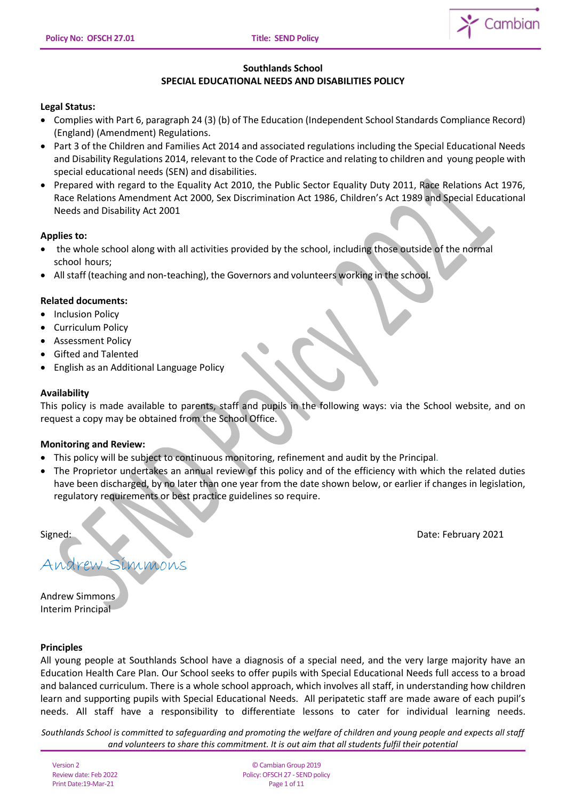

# **Southlands School SPECIAL EDUCATIONAL NEEDS AND DISABILITIES POLICY**

# **Legal Status:**

- Complies with Part 6, paragraph 24 (3) (b) of The Education (Independent School Standards Compliance Record) (England) (Amendment) Regulations.
- Part 3 of the Children and Families Act 2014 and associated regulations including the Special Educational Needs and Disability Regulations 2014, relevant to the Code of Practice and relating to children and young people with special educational needs (SEN) and disabilities.
- Prepared with regard to the Equality Act 2010, the Public Sector Equality Duty 2011, Race Relations Act 1976, Race Relations Amendment Act 2000, Sex Discrimination Act 1986, Children's Act 1989 and Special Educational Needs and Disability Act 2001

# **Applies to:**

- the whole school along with all activities provided by the school, including those outside of the normal school hours;
- All staff (teaching and non-teaching), the Governors and volunteers working in the school.

# **Related documents:**

- Inclusion Policy
- Curriculum Policy
- Assessment Policy
- Gifted and Talented
- English as an Additional Language Policy

# **Availability**

This policy is made available to parents, staff and pupils in the following ways: via the School website, and on request a copy may be obtained from the School Office.

# **Monitoring and Review:**

- This policy will be subject to continuous monitoring, refinement and audit by the Principal.
- The Proprietor undertakes an annual review of this policy and of the efficiency with which the related duties have been discharged, by no later than one year from the date shown below, or earlier if changes in legislation, regulatory requirements or best practice guidelines so require.

Signed: Date: February 2021

Andrew Simmons

Andrew Simmons Interim Principal

# **Principles**

All young people at Southlands School have a diagnosis of a special need, and the very large majority have an Education Health Care Plan. Our School seeks to offer pupils with Special Educational Needs full access to a broad and balanced curriculum. There is a whole school approach, which involves all staff, in understanding how children learn and supporting pupils with Special Educational Needs. All peripatetic staff are made aware of each pupil's needs. All staff have a responsibility to differentiate lessons to cater for individual learning needs.

*Southlands School is committed to safeguarding and promoting the welfare of children and young people and expects all staff and volunteers to share this commitment. It is out aim that all students fulfil their potential*

Version 2 Review date: Feb 2022 Print Date:19-Mar-21

© Cambian Group 2019 Policy:OFSCH 27 - SEND policy Page 1 of 11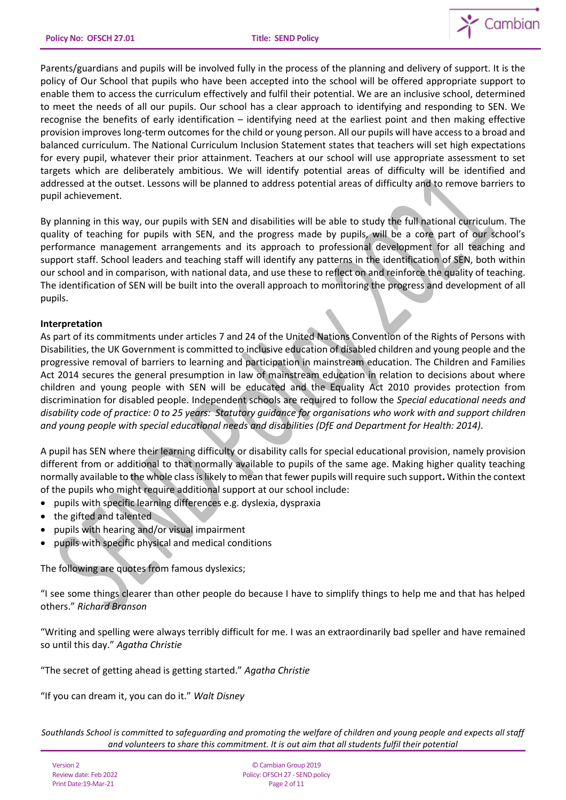

Parents/guardians and pupils will be involved fully in the process of the planning and delivery of support. It is the policy of Our School that pupils who have been accepted into the school will be offered appropriate support to enable them to access the curriculum effectively and fulfil their potential. We are an inclusive school, determined to meet the needs of all our pupils. Our school has a clear approach to identifying and responding to SEN. We recognise the benefits of early identification – identifying need at the earliest point and then making effective provision improves long-term outcomes for the child or young person. All our pupils will have access to a broad and balanced curriculum. The National Curriculum Inclusion Statement states that teachers will set high expectations for every pupil, whatever their prior attainment. Teachers at our school will use appropriate assessment to set targets which are deliberately ambitious. We will identify potential areas of difficulty will be identified and addressed at the outset. Lessons will be planned to address potential areas of difficulty and to remove barriers to pupil achievement.

By planning in this way, our pupils with SEN and disabilities will be able to study the full national curriculum. The quality of teaching for pupils with SEN, and the progress made by pupils, will be a core part of our school's performance management arrangements and its approach to professional development for all teaching and support staff. School leaders and teaching staff will identify any patterns in the identification of SEN, both within our school and in comparison, with national data, and use these to reflect on and reinforce the quality of teaching. The identification of SEN will be built into the overall approach to monitoring the progress and development of all pupils.

# **Interpretation**

As part of its commitments under articles 7 and 24 of the United Nations Convention of the Rights of Persons with Disabilities, the UK Government is committed to inclusive education of disabled children and young people and the progressive removal of barriers to learning and participation in mainstream education. The Children and Families Act 2014 secures the general presumption in law of mainstream education in relation to decisions about where children and young people with SEN will be educated and the Equality Act 2010 provides protection from discrimination for disabled people. Independent schools are required to follow the *Special educational needs and disability code of practice: 0 to 25 years: Statutory guidance for organisations who work with and support children and young people with special educational needs and disabilities (DfE and Department for Health: 2014).*

A pupil has SEN where their learning difficulty or disability calls for special educational provision, namely provision different from or additional to that normally available to pupils of the same age. Making higher quality teaching normally available to the whole class is likely to mean that fewer pupils will require such support**.** Within the context of the pupils who might require additional support at our school include:

- pupils with specific learning differences e.g. dyslexia, dyspraxia
- the gifted and talented
- pupils with hearing and/or visual impairment
- pupils with specific physical and medical conditions

The following are quotes from famous dyslexics;

"I see some things clearer than other people do because I have to simplify things to help me and that has helped others." *Richard Branson*

"Writing and spelling were always terribly difficult for me. I was an extraordinarily bad speller and have remained so until this day." *Agatha Christie*

"The secret of getting ahead is getting started." *Agatha Christie*

"If you can dream it, you can do it." *Walt Disney*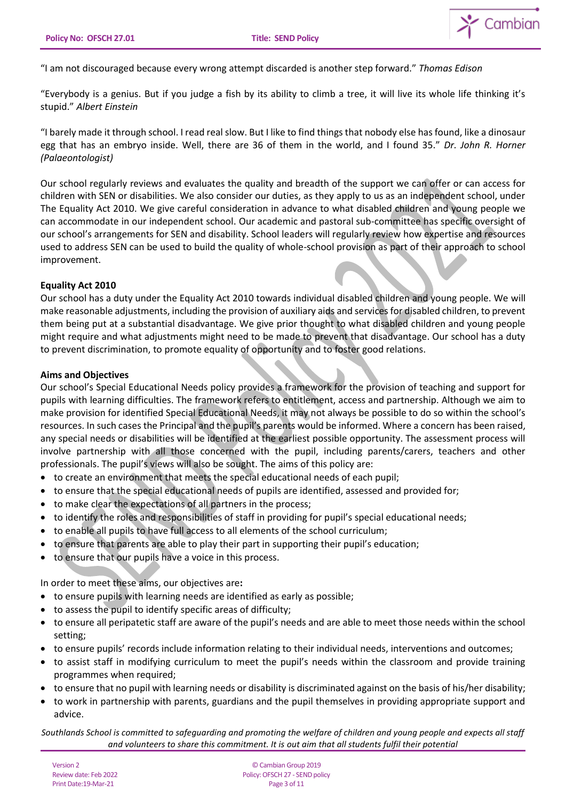

"I am not discouraged because every wrong attempt discarded is another step forward." *Thomas Edison*

"Everybody is a genius. But if you judge a fish by its ability to climb a tree, it will live its whole life thinking it's stupid." *Albert Einstein*

"I barely made it through school. I read real slow. But I like to find things that nobody else has found, like a dinosaur egg that has an embryo inside. Well, there are 36 of them in the world, and I found 35." *Dr. John R. Horner (Palaeontologist)*

Our school regularly reviews and evaluates the quality and breadth of the support we can offer or can access for children with SEN or disabilities. We also consider our duties, as they apply to us as an independent school, under The Equality Act 2010. We give careful consideration in advance to what disabled children and young people we can accommodate in our independent school. Our academic and pastoral sub-committee has specific oversight of our school's arrangements for SEN and disability. School leaders will regularly review how expertise and resources used to address SEN can be used to build the quality of whole-school provision as part of their approach to school improvement.

# **Equality Act 2010**

Our school has a duty under the Equality Act 2010 towards individual disabled children and young people. We will make reasonable adjustments, including the provision of auxiliary aids and services for disabled children, to prevent them being put at a substantial disadvantage. We give prior thought to what disabled children and young people might require and what adjustments might need to be made to prevent that disadvantage. Our school has a duty to prevent discrimination, to promote equality of opportunity and to foster good relations.

# **Aims and Objectives**

Our school's Special Educational Needs policy provides a framework for the provision of teaching and support for pupils with learning difficulties. The framework refers to entitlement, access and partnership. Although we aim to make provision for identified Special Educational Needs, it may not always be possible to do so within the school's resources. In such cases the Principal and the pupil's parents would be informed. Where a concern has been raised, any special needs or disabilities will be identified at the earliest possible opportunity. The assessment process will involve partnership with all those concerned with the pupil, including parents/carers, teachers and other professionals. The pupil's views will also be sought. The aims of this policy are:

- to create an environment that meets the special educational needs of each pupil;
- to ensure that the special educational needs of pupils are identified, assessed and provided for;
- to make clear the expectations of all partners in the process;
- to identify the roles and responsibilities of staff in providing for pupil's special educational needs;
- to enable all pupils to have full access to all elements of the school curriculum;
- to ensure that parents are able to play their part in supporting their pupil's education;
- to ensure that our pupils have a voice in this process.

In order to meet these aims, our objectives are**:** 

- to ensure pupils with learning needs are identified as early as possible;
- to assess the pupil to identify specific areas of difficulty;
- to ensure all peripatetic staff are aware of the pupil's needs and are able to meet those needs within the school setting;
- to ensure pupils' records include information relating to their individual needs, interventions and outcomes;
- to assist staff in modifying curriculum to meet the pupil's needs within the classroom and provide training programmes when required;
- to ensure that no pupil with learning needs or disability is discriminated against on the basis of his/her disability;
- to work in partnership with parents, guardians and the pupil themselves in providing appropriate support and advice.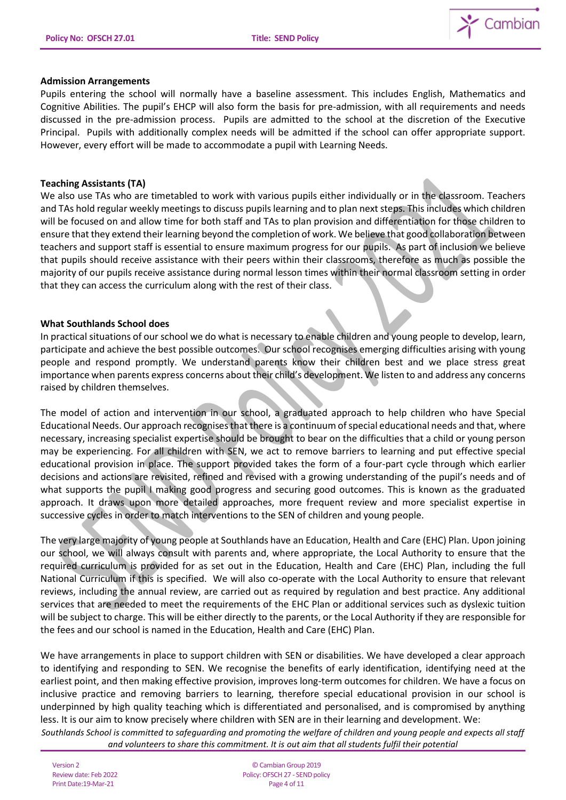

### **Admission Arrangements**

Pupils entering the school will normally have a baseline assessment. This includes English, Mathematics and Cognitive Abilities. The pupil's EHCP will also form the basis for pre-admission, with all requirements and needs discussed in the pre-admission process. Pupils are admitted to the school at the discretion of the Executive Principal. Pupils with additionally complex needs will be admitted if the school can offer appropriate support. However, every effort will be made to accommodate a pupil with Learning Needs.

### **Teaching Assistants (TA)**

We also use TAs who are timetabled to work with various pupils either individually or in the classroom. Teachers and TAs hold regular weekly meetings to discuss pupils learning and to plan next steps. This includes which children will be focused on and allow time for both staff and TAs to plan provision and differentiation for those children to ensure that they extend their learning beyond the completion of work. We believe that good collaboration between teachers and support staff is essential to ensure maximum progress for our pupils. As part of inclusion we believe that pupils should receive assistance with their peers within their classrooms, therefore as much as possible the majority of our pupils receive assistance during normal lesson times within their normal classroom setting in order that they can access the curriculum along with the rest of their class.

### **What Southlands School does**

In practical situations of our school we do what is necessary to enable children and young people to develop, learn, participate and achieve the best possible outcomes. Our school recognises emerging difficulties arising with young people and respond promptly. We understand parents know their children best and we place stress great importance when parents express concerns about their child's development. We listen to and address any concerns raised by children themselves.

The model of action and intervention in our school, a graduated approach to help children who have Special Educational Needs. Our approach recognises that there is a continuum of special educational needs and that, where necessary, increasing specialist expertise should be brought to bear on the difficulties that a child or young person may be experiencing. For all children with SEN, we act to remove barriers to learning and put effective special educational provision in place. The support provided takes the form of a four-part cycle through which earlier decisions and actions are revisited, refined and revised with a growing understanding of the pupil's needs and of what supports the pupil I making good progress and securing good outcomes. This is known as the graduated approach. It draws upon more detailed approaches, more frequent review and more specialist expertise in successive cycles in order to match interventions to the SEN of children and young people.

The very large majority of young people at Southlands have an Education, Health and Care (EHC) Plan. Upon joining our school, we will always consult with parents and, where appropriate, the Local Authority to ensure that the required curriculum is provided for as set out in the Education, Health and Care (EHC) Plan, including the full National Curriculum if this is specified. We will also co-operate with the Local Authority to ensure that relevant reviews, including the annual review, are carried out as required by regulation and best practice. Any additional services that are needed to meet the requirements of the EHC Plan or additional services such as dyslexic tuition will be subject to charge. This will be either directly to the parents, or the Local Authority if they are responsible for the fees and our school is named in the Education, Health and Care (EHC) Plan.

We have arrangements in place to support children with SEN or disabilities. We have developed a clear approach to identifying and responding to SEN. We recognise the benefits of early identification, identifying need at the earliest point, and then making effective provision, improves long-term outcomes for children. We have a focus on inclusive practice and removing barriers to learning, therefore special educational provision in our school is underpinned by high quality teaching which is differentiated and personalised, and is compromised by anything less. It is our aim to know precisely where children with SEN are in their learning and development. We: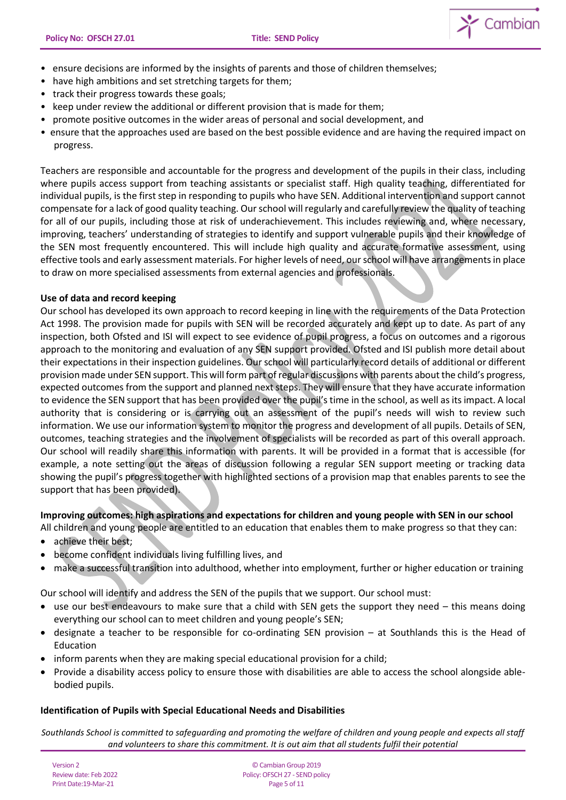

- ensure decisions are informed by the insights of parents and those of children themselves;
- have high ambitions and set stretching targets for them;
- track their progress towards these goals;
- keep under review the additional or different provision that is made for them;
- promote positive outcomes in the wider areas of personal and social development, and
- ensure that the approaches used are based on the best possible evidence and are having the required impact on progress.

Teachers are responsible and accountable for the progress and development of the pupils in their class, including where pupils access support from teaching assistants or specialist staff. High quality teaching, differentiated for individual pupils, is the first step in responding to pupils who have SEN. Additional intervention and support cannot compensate for a lack of good quality teaching. Our school will regularly and carefully review the quality of teaching for all of our pupils, including those at risk of underachievement. This includes reviewing and, where necessary, improving, teachers' understanding of strategies to identify and support vulnerable pupils and their knowledge of the SEN most frequently encountered. This will include high quality and accurate formative assessment, using effective tools and early assessment materials. For higher levels of need, our school will have arrangements in place to draw on more specialised assessments from external agencies and professionals.

### **Use of data and record keeping**

Our school has developed its own approach to record keeping in line with the requirements of the Data Protection Act 1998. The provision made for pupils with SEN will be recorded accurately and kept up to date. As part of any inspection, both Ofsted and ISI will expect to see evidence of pupil progress, a focus on outcomes and a rigorous approach to the monitoring and evaluation of any SEN support provided. Ofsted and ISI publish more detail about their expectations in their inspection guidelines. Our school will particularly record details of additional or different provision made under SEN support. This will form part of regular discussions with parents about the child's progress, expected outcomes from the support and planned next steps. They will ensure that they have accurate information to evidence the SEN support that has been provided over the pupil's time in the school, as well as its impact. A local authority that is considering or is carrying out an assessment of the pupil's needs will wish to review such information. We use our information system to monitor the progress and development of all pupils. Details of SEN, outcomes, teaching strategies and the involvement of specialists will be recorded as part of this overall approach. Our school will readily share this information with parents. It will be provided in a format that is accessible (for example, a note setting out the areas of discussion following a regular SEN support meeting or tracking data showing the pupil's progress together with highlighted sections of a provision map that enables parents to see the support that has been provided).

# **Improving outcomes: high aspirations and expectations for children and young people with SEN in our school**

- All children and young people are entitled to an education that enables them to make progress so that they can:
- achieve their best;
- become confident individuals living fulfilling lives, and
- make a successful transition into adulthood, whether into employment, further or higher education or training

Our school will identify and address the SEN of the pupils that we support. Our school must:

- use our best endeavours to make sure that a child with SEN gets the support they need this means doing everything our school can to meet children and young people's SEN;
- designate a teacher to be responsible for co-ordinating SEN provision at Southlands this is the Head of Education
- inform parents when they are making special educational provision for a child;
- Provide a disability access policy to ensure those with disabilities are able to access the school alongside ablebodied pupils.

#### **Identification of Pupils with Special Educational Needs and Disabilities**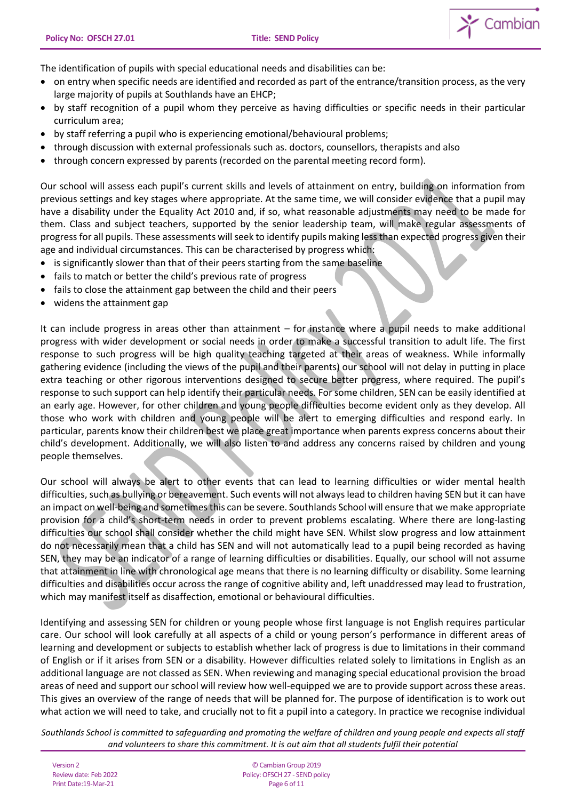$\sum$  Cambian



- on entry when specific needs are identified and recorded as part of the entrance/transition process, as the very large majority of pupils at Southlands have an EHCP;
- by staff recognition of a pupil whom they perceive as having difficulties or specific needs in their particular curriculum area;
- by staff referring a pupil who is experiencing emotional/behavioural problems;
- through discussion with external professionals such as. doctors, counsellors, therapists and also
- through concern expressed by parents (recorded on the parental meeting record form).

Our school will assess each pupil's current skills and levels of attainment on entry, building on information from previous settings and key stages where appropriate. At the same time, we will consider evidence that a pupil may have a disability under the Equality Act 2010 and, if so, what reasonable adjustments may need to be made for them. Class and subject teachers, supported by the senior leadership team, will make regular assessments of progress for all pupils. These assessments will seek to identify pupils making less than expected progress given their age and individual circumstances. This can be characterised by progress which:

- is significantly slower than that of their peers starting from the same baseline
- fails to match or better the child's previous rate of progress
- fails to close the attainment gap between the child and their peers
- widens the attainment gap

It can include progress in areas other than attainment – for instance where a pupil needs to make additional progress with wider development or social needs in order to make a successful transition to adult life. The first response to such progress will be high quality teaching targeted at their areas of weakness. While informally gathering evidence (including the views of the pupil and their parents) our school will not delay in putting in place extra teaching or other rigorous interventions designed to secure better progress, where required. The pupil's response to such support can help identify their particular needs. For some children, SEN can be easily identified at an early age. However, for other children and young people difficulties become evident only as they develop. All those who work with children and young people will be alert to emerging difficulties and respond early. In particular, parents know their children best we place great importance when parents express concerns about their child's development. Additionally, we will also listen to and address any concerns raised by children and young people themselves.

Our school will always be alert to other events that can lead to learning difficulties or wider mental health difficulties, such as bullying or bereavement. Such events will not always lead to children having SEN but it can have an impact on well-being and sometimes this can be severe. Southlands School will ensure that we make appropriate provision for a child's short-term needs in order to prevent problems escalating. Where there are long-lasting difficulties our school shall consider whether the child might have SEN. Whilst slow progress and low attainment do not necessarily mean that a child has SEN and will not automatically lead to a pupil being recorded as having SEN, they may be an indicator of a range of learning difficulties or disabilities. Equally, our school will not assume that attainment in line with chronological age means that there is no learning difficulty or disability. Some learning difficulties and disabilities occur across the range of cognitive ability and, left unaddressed may lead to frustration, which may manifest itself as disaffection, emotional or behavioural difficulties.

Identifying and assessing SEN for children or young people whose first language is not English requires particular care. Our school will look carefully at all aspects of a child or young person's performance in different areas of learning and development or subjects to establish whether lack of progress is due to limitations in their command of English or if it arises from SEN or a disability. However difficulties related solely to limitations in English as an additional language are not classed as SEN. When reviewing and managing special educational provision the broad areas of need and support our school will review how well-equipped we are to provide support across these areas. This gives an overview of the range of needs that will be planned for. The purpose of identification is to work out what action we will need to take, and crucially not to fit a pupil into a category. In practice we recognise individual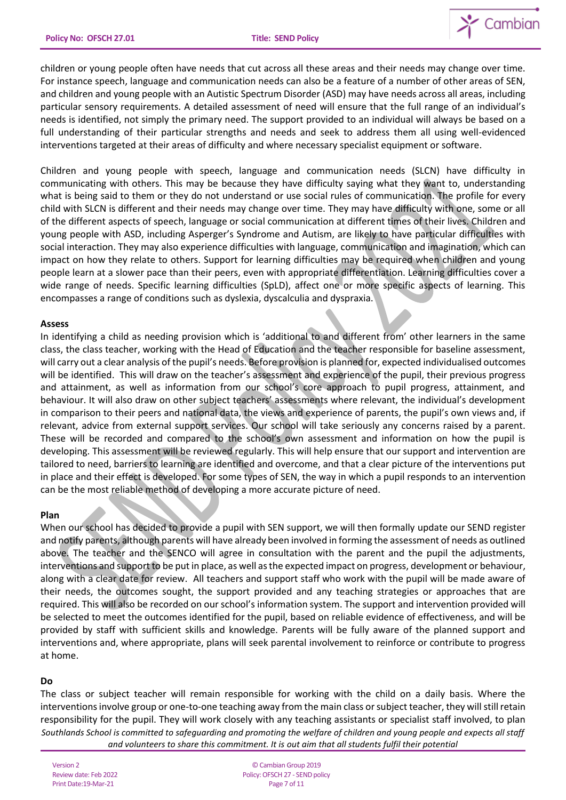

children or young people often have needs that cut across all these areas and their needs may change over time. For instance speech, language and communication needs can also be a feature of a number of other areas of SEN, and children and young people with an Autistic Spectrum Disorder (ASD) may have needs across all areas, including particular sensory requirements. A detailed assessment of need will ensure that the full range of an individual's needs is identified, not simply the primary need. The support provided to an individual will always be based on a full understanding of their particular strengths and needs and seek to address them all using well-evidenced interventions targeted at their areas of difficulty and where necessary specialist equipment or software.

Children and young people with speech, language and communication needs (SLCN) have difficulty in communicating with others. This may be because they have difficulty saying what they want to, understanding what is being said to them or they do not understand or use social rules of communication. The profile for every child with SLCN is different and their needs may change over time. They may have difficulty with one, some or all of the different aspects of speech, language or social communication at different times of their lives. Children and young people with ASD, including Asperger's Syndrome and Autism, are likely to have particular difficulties with social interaction. They may also experience difficulties with language, communication and imagination, which can impact on how they relate to others. Support for learning difficulties may be required when children and young people learn at a slower pace than their peers, even with appropriate differentiation. Learning difficulties cover a wide range of needs. Specific learning difficulties (SpLD), affect one or more specific aspects of learning. This encompasses a range of conditions such as dyslexia, dyscalculia and dyspraxia.

### **Assess**

In identifying a child as needing provision which is 'additional to and different from' other learners in the same class, the class teacher, working with the Head of Education and the teacher responsible for baseline assessment, will carry out a clear analysis of the pupil's needs. Before provision is planned for, expected individualised outcomes will be identified. This will draw on the teacher's assessment and experience of the pupil, their previous progress and attainment, as well as information from our school's core approach to pupil progress, attainment, and behaviour. It will also draw on other subject teachers' assessments where relevant, the individual's development in comparison to their peers and national data, the views and experience of parents, the pupil's own views and, if relevant, advice from external support services. Our school will take seriously any concerns raised by a parent. These will be recorded and compared to the school's own assessment and information on how the pupil is developing. This assessment will be reviewed regularly. This will help ensure that our support and intervention are tailored to need, barriers to learning are identified and overcome, and that a clear picture of the interventions put in place and their effect is developed. For some types of SEN, the way in which a pupil responds to an intervention can be the most reliable method of developing a more accurate picture of need.

#### **Plan**

When our school has decided to provide a pupil with SEN support, we will then formally update our SEND register and notify parents, although parents will have already been involved in forming the assessment of needs as outlined above. The teacher and the SENCO will agree in consultation with the parent and the pupil the adjustments, interventions and support to be put in place, as well as the expected impact on progress, development or behaviour, along with a clear date for review. All teachers and support staff who work with the pupil will be made aware of their needs, the outcomes sought, the support provided and any teaching strategies or approaches that are required. This will also be recorded on our school's information system. The support and intervention provided will be selected to meet the outcomes identified for the pupil, based on reliable evidence of effectiveness, and will be provided by staff with sufficient skills and knowledge. Parents will be fully aware of the planned support and interventions and, where appropriate, plans will seek parental involvement to reinforce or contribute to progress at home.

# **Do**

*Southlands School is committed to safeguarding and promoting the welfare of children and young people and expects all staff and volunteers to share this commitment. It is out aim that all students fulfil their potential* The class or subject teacher will remain responsible for working with the child on a daily basis. Where the interventions involve group or one-to-one teaching away from the main class or subject teacher, they will still retain responsibility for the pupil. They will work closely with any teaching assistants or specialist staff involved, to plan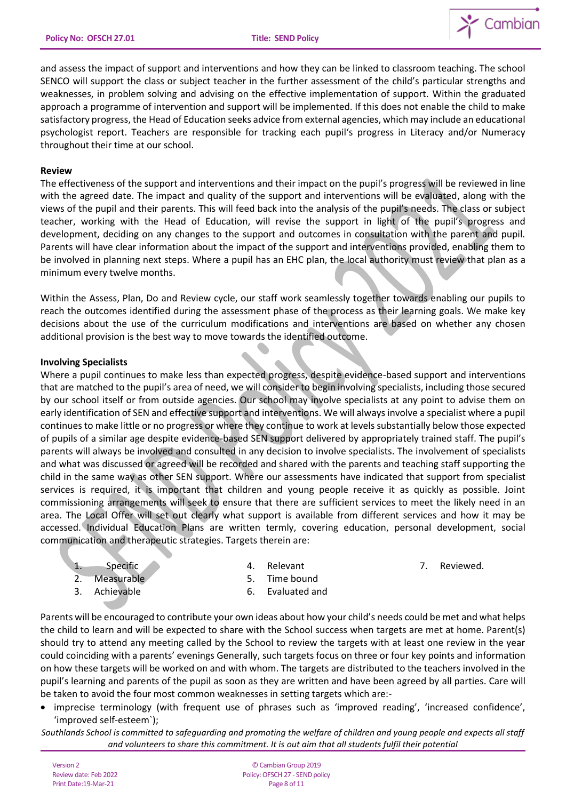

and assess the impact of support and interventions and how they can be linked to classroom teaching. The school SENCO will support the class or subject teacher in the further assessment of the child's particular strengths and weaknesses, in problem solving and advising on the effective implementation of support. Within the graduated approach a programme of intervention and support will be implemented. If this does not enable the child to make satisfactory progress, the Head of Education seeks advice from external agencies, which may include an educational psychologist report. Teachers are responsible for tracking each pupil's progress in Literacy and/or Numeracy throughout their time at our school.

#### **Review**

The effectiveness of the support and interventions and their impact on the pupil's progress will be reviewed in line with the agreed date. The impact and quality of the support and interventions will be evaluated, along with the views of the pupil and their parents. This will feed back into the analysis of the pupil's needs. The class or subject teacher, working with the Head of Education, will revise the support in light of the pupil's progress and development, deciding on any changes to the support and outcomes in consultation with the parent and pupil. Parents will have clear information about the impact of the support and interventions provided, enabling them to be involved in planning next steps. Where a pupil has an EHC plan, the local authority must review that plan as a minimum every twelve months.

Within the Assess, Plan, Do and Review cycle, our staff work seamlessly together towards enabling our pupils to reach the outcomes identified during the assessment phase of the process as their learning goals. We make key decisions about the use of the curriculum modifications and interventions are based on whether any chosen additional provision is the best way to move towards the identified outcome.

### **Involving Specialists**

Where a pupil continues to make less than expected progress, despite evidence-based support and interventions that are matched to the pupil's area of need, we will consider to begin involving specialists, including those secured by our school itself or from outside agencies. Our school may involve specialists at any point to advise them on early identification of SEN and effective support and interventions. We will always involve a specialist where a pupil continues to make little or no progress or where they continue to work at levels substantially below those expected of pupils of a similar age despite evidence-based SEN support delivered by appropriately trained staff. The pupil's parents will always be involved and consulted in any decision to involve specialists. The involvement of specialists and what was discussed or agreed will be recorded and shared with the parents and teaching staff supporting the child in the same way as other SEN support. Where our assessments have indicated that support from specialist services is required, it is important that children and young people receive it as quickly as possible. Joint commissioning arrangements will seek to ensure that there are sufficient services to meet the likely need in an area. The Local Offer will set out clearly what support is available from different services and how it may be accessed. Individual Education Plans are written termly, covering education, personal development, social communication and therapeutic strategies. Targets therein are:

1. Specific

4. Relevant

7. Reviewed.

2. Measurable 3. Achievable

- 5. Time bound
- 6. Evaluated and

Parents will be encouraged to contribute your own ideas about how your child's needs could be met and what helps the child to learn and will be expected to share with the School success when targets are met at home. Parent(s) should try to attend any meeting called by the School to review the targets with at least one review in the year could coinciding with a parents' evenings Generally, such targets focus on three or four key points and information on how these targets will be worked on and with whom. The targets are distributed to the teachers involved in the pupil's learning and parents of the pupil as soon as they are written and have been agreed by all parties. Care will be taken to avoid the four most common weaknesses in setting targets which are:-

- imprecise terminology (with frequent use of phrases such as 'improved reading', 'increased confidence', 'improved self-esteem`);
- *Southlands School is committed to safeguarding and promoting the welfare of children and young people and expects all staff and volunteers to share this commitment. It is out aim that all students fulfil their potential*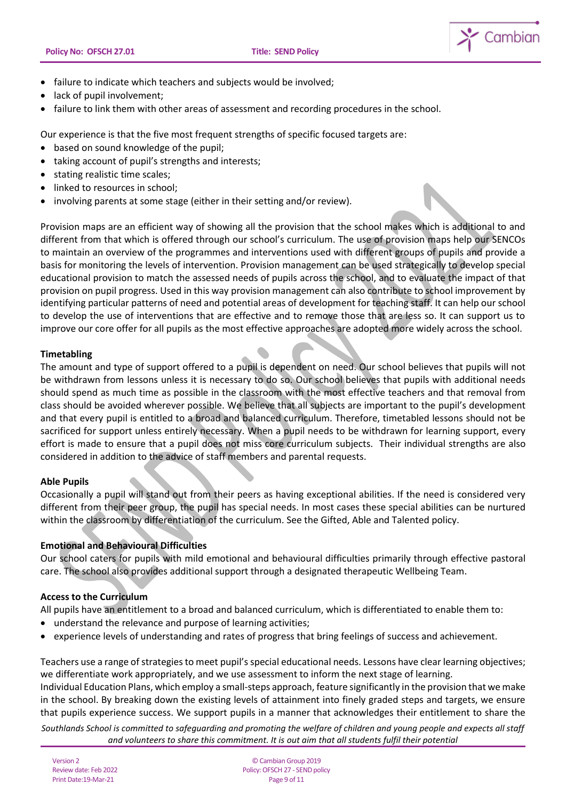

- failure to indicate which teachers and subjects would be involved:
- lack of pupil involvement;
- failure to link them with other areas of assessment and recording procedures in the school.

Our experience is that the five most frequent strengths of specific focused targets are:

- based on sound knowledge of the pupil;
- taking account of pupil's strengths and interests;
- stating realistic time scales;
- linked to resources in school;
- involving parents at some stage (either in their setting and/or review).

Provision maps are an efficient way of showing all the provision that the school makes which is additional to and different from that which is offered through our school's curriculum. The use of provision maps help our SENCOs to maintain an overview of the programmes and interventions used with different groups of pupils and provide a basis for monitoring the levels of intervention. Provision management can be used strategically to develop special educational provision to match the assessed needs of pupils across the school, and to evaluate the impact of that provision on pupil progress. Used in this way provision management can also contribute to school improvement by identifying particular patterns of need and potential areas of development for teaching staff. It can help our school to develop the use of interventions that are effective and to remove those that are less so. It can support us to improve our core offer for all pupils as the most effective approaches are adopted more widely across the school.

# **Timetabling**

The amount and type of support offered to a pupil is dependent on need. Our school believes that pupils will not be withdrawn from lessons unless it is necessary to do so. Our school believes that pupils with additional needs should spend as much time as possible in the classroom with the most effective teachers and that removal from class should be avoided wherever possible. We believe that all subjects are important to the pupil's development and that every pupil is entitled to a broad and balanced curriculum. Therefore, timetabled lessons should not be sacrificed for support unless entirely necessary. When a pupil needs to be withdrawn for learning support, every effort is made to ensure that a pupil does not miss core curriculum subjects. Their individual strengths are also considered in addition to the advice of staff members and parental requests.

# **Able Pupils**

Occasionally a pupil will stand out from their peers as having exceptional abilities. If the need is considered very different from their peer group, the pupil has special needs. In most cases these special abilities can be nurtured within the classroom by differentiation of the curriculum. See the Gifted, Able and Talented policy.

# **Emotional and Behavioural Difficulties**

Our school caters for pupils with mild emotional and behavioural difficulties primarily through effective pastoral care. The school also provides additional support through a designated therapeutic Wellbeing Team.

# **Access to the Curriculum**

All pupils have an entitlement to a broad and balanced curriculum, which is differentiated to enable them to:

- understand the relevance and purpose of learning activities;
- experience levels of understanding and rates of progress that bring feelings of success and achievement.

Teachers use a range of strategies to meet pupil's special educational needs. Lessons have clear learning objectives; we differentiate work appropriately, and we use assessment to inform the next stage of learning.

Individual Education Plans, which employ a small-steps approach, feature significantly in the provision that we make in the school. By breaking down the existing levels of attainment into finely graded steps and targets, we ensure that pupils experience success. We support pupils in a manner that acknowledges their entitlement to share the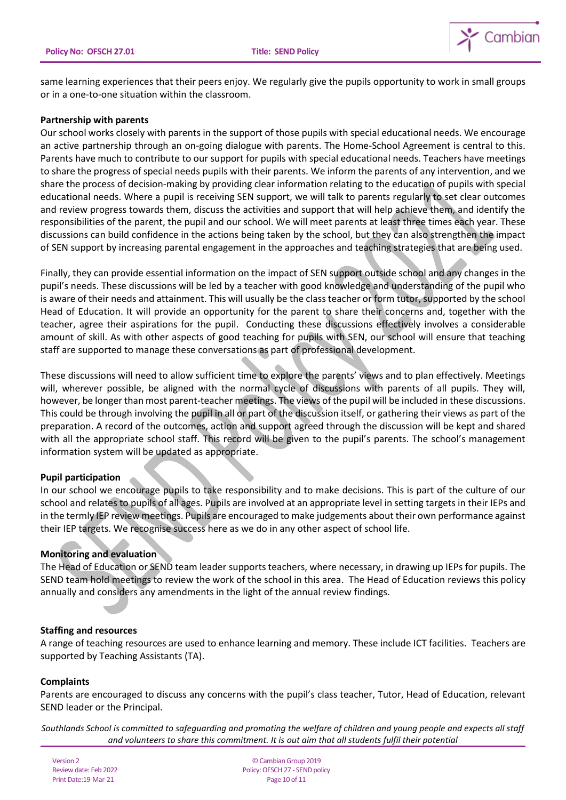

same learning experiences that their peers enjoy. We regularly give the pupils opportunity to work in small groups or in a one-to-one situation within the classroom.

#### **Partnership with parents**

Our school works closely with parents in the support of those pupils with special educational needs. We encourage an active partnership through an on-going dialogue with parents. The Home-School Agreement is central to this. Parents have much to contribute to our support for pupils with special educational needs. Teachers have meetings to share the progress of special needs pupils with their parents. We inform the parents of any intervention, and we share the process of decision-making by providing clear information relating to the education of pupils with special educational needs. Where a pupil is receiving SEN support, we will talk to parents regularly to set clear outcomes and review progress towards them, discuss the activities and support that will help achieve them, and identify the responsibilities of the parent, the pupil and our school. We will meet parents at least three times each year. These discussions can build confidence in the actions being taken by the school, but they can also strengthen the impact of SEN support by increasing parental engagement in the approaches and teaching strategies that are being used.

Finally, they can provide essential information on the impact of SEN support outside school and any changes in the pupil's needs. These discussions will be led by a teacher with good knowledge and understanding of the pupil who is aware of their needs and attainment. This will usually be the class teacher or form tutor, supported by the school Head of Education. It will provide an opportunity for the parent to share their concerns and, together with the teacher, agree their aspirations for the pupil. Conducting these discussions effectively involves a considerable amount of skill. As with other aspects of good teaching for pupils with SEN, our school will ensure that teaching staff are supported to manage these conversations as part of professional development.

These discussions will need to allow sufficient time to explore the parents' views and to plan effectively. Meetings will, wherever possible, be aligned with the normal cycle of discussions with parents of all pupils. They will, however, be longer than most parent-teacher meetings. The views of the pupil will be included in these discussions. This could be through involving the pupil in all or part of the discussion itself, or gathering their views as part of the preparation. A record of the outcomes, action and support agreed through the discussion will be kept and shared with all the appropriate school staff. This record will be given to the pupil's parents. The school's management information system will be updated as appropriate.

# **Pupil participation**

In our school we encourage pupils to take responsibility and to make decisions. This is part of the culture of our school and relates to pupils of all ages. Pupils are involved at an appropriate level in setting targets in their IEPs and in the termly IEP review meetings. Pupils are encouraged to make judgements about their own performance against their IEP targets. We recognise success here as we do in any other aspect of school life.

# **Monitoring and evaluation**

The Head of Education or SEND team leader supports teachers, where necessary, in drawing up IEPs for pupils. The SEND team hold meetings to review the work of the school in this area. The Head of Education reviews this policy annually and considers any amendments in the light of the annual review findings.

#### **Staffing and resources**

A range of teaching resources are used to enhance learning and memory. These include ICT facilities. Teachers are supported by Teaching Assistants (TA).

#### **Complaints**

Parents are encouraged to discuss any concerns with the pupil's class teacher, Tutor, Head of Education, relevant SEND leader or the Principal.

*Southlands School is committed to safeguarding and promoting the welfare of children and young people and expects all staff and volunteers to share this commitment. It is out aim that all students fulfil their potential*

Version 2 Review date: Feb 2022 Print Date:19-Mar-21

© Cambian Group 2019 Policy:OFSCH 27 - SEND policy Page 10 of 11